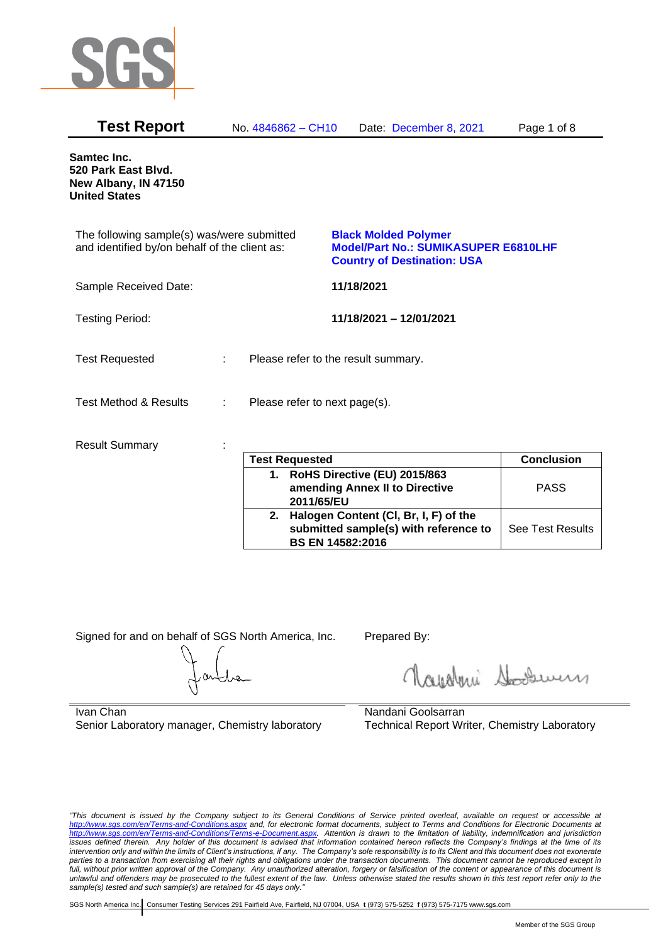

| <b>Test Report</b>                                                                          |    | No. 4846862 – CH10                  |            | Date: December 8, 2021                                                                                           | Page 1 of 8 |
|---------------------------------------------------------------------------------------------|----|-------------------------------------|------------|------------------------------------------------------------------------------------------------------------------|-------------|
| <b>Samtec Inc.</b><br>520 Park East Blvd.<br>New Albany, IN 47150<br><b>United States</b>   |    |                                     |            |                                                                                                                  |             |
| The following sample(s) was/were submitted<br>and identified by/on behalf of the client as: |    |                                     |            | <b>Black Molded Polymer</b><br><b>Model/Part No.: SUMIKASUPER E6810LHF</b><br><b>Country of Destination: USA</b> |             |
| Sample Received Date:                                                                       |    |                                     | 11/18/2021 |                                                                                                                  |             |
| <b>Testing Period:</b>                                                                      |    |                                     |            | 11/18/2021 - 12/01/2021                                                                                          |             |
| <b>Test Requested</b>                                                                       | ÷. | Please refer to the result summary. |            |                                                                                                                  |             |
| <b>Test Method &amp; Results</b>                                                            | ÷  | Please refer to next page(s).       |            |                                                                                                                  |             |
| <b>Result Summary</b>                                                                       |    |                                     |            |                                                                                                                  |             |

| <b>Test Requested</b>                                                                                 | <b>Conclusion</b> |
|-------------------------------------------------------------------------------------------------------|-------------------|
| 1. RoHS Directive (EU) 2015/863<br>amending Annex II to Directive<br>2011/65/EU                       | <b>PASS</b>       |
| 2. Halogen Content (CI, Br, I, F) of the<br>submitted sample(s) with reference to<br>BS EN 14582:2016 | See Test Results  |

Signed for and on behalf of SGS North America, Inc. Prepared By:

Rosentini Souri

Ivan Chan Senior Laboratory manager, Chemistry laboratory

Nandani Goolsarran Technical Report Writer, Chemistry Laboratory

*"This document is issued by the Company subject to its General Conditions of Service printed overleaf, available on request or accessible at <http://www.sgs.com/en/Terms-and-Conditions.aspx> and, for electronic format documents, subject to Terms and Conditions for Electronic Documents at [http://www.sgs.com/en/Terms-and-Conditions/Terms-e-Document.aspx.](http://www.sgs.com/en/Terms-and-Conditions/Terms-e-Document.aspx) Attention is drawn to the limitation of liability, indemnification and jurisdiction issues defined therein. Any holder of this document is advised that information contained hereon reflects the Company's findings at the time of its intervention only and within the limits of Client's instructions, if any. The Company's sole responsibility is to its Client and this document does not exonerate*  parties to a transaction from exercising all their rights and obligations under the transaction documents. This document cannot be reproduced except in *full, without prior written approval of the Company. Any unauthorized alteration, forgery or falsification of the content or appearance of this document is unlawful and offenders may be prosecuted to the fullest extent of the law. Unless otherwise stated the results shown in this test report refer only to the sample(s) tested and such sample(s) are retained for 45 days only."*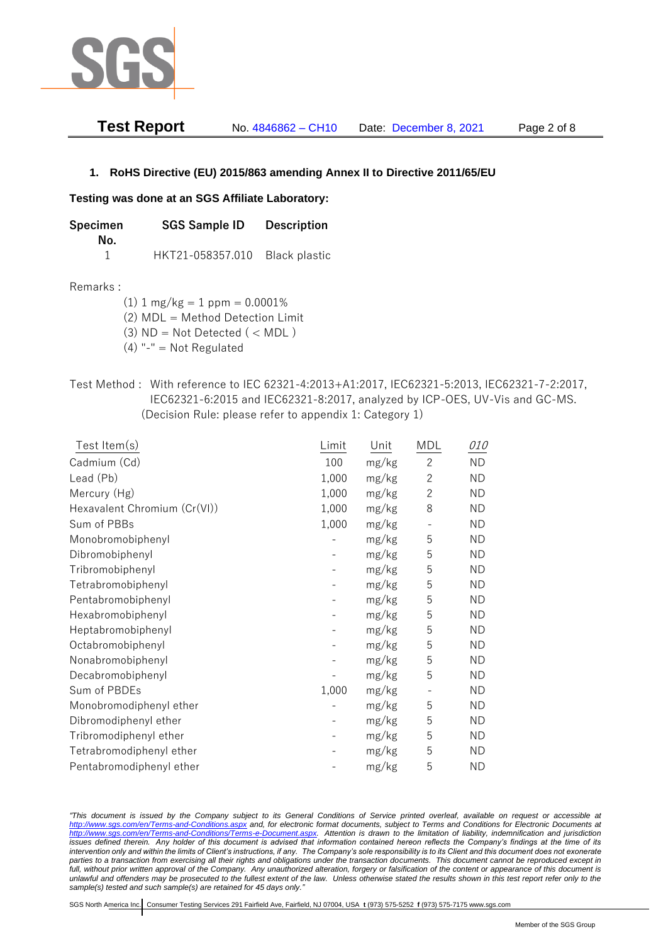

| <b>Test Report</b> | No. 4846862 - CH10 | Date: December 8, 2021 | Page 2 of 8 |
|--------------------|--------------------|------------------------|-------------|
|--------------------|--------------------|------------------------|-------------|

## **1. RoHS Directive (EU) 2015/863 amending Annex II to Directive 2011/65/EU**

### **Testing was done at an SGS Affiliate Laboratory:**

| Specimen | <b>SGS Sample ID</b> | <b>Description</b>   |
|----------|----------------------|----------------------|
| No.      | HKT21-058357.010     | <b>Black plastic</b> |

### Remarks :

(1)  $1 \text{ mg/kg} = 1 \text{ ppm} = 0.0001\%$ 

(2) MDL = Method Detection Limit

- $(3)$  ND = Not Detected  $($  < MDL)
- (4) "-" = Not Regulated
- Test Method : With reference to IEC 62321-4:2013+A1:2017, IEC62321-5:2013, IEC62321-7-2:2017, IEC62321-6:2015 and IEC62321-8:2017, analyzed by ICP-OES, UV-Vis and GC-MS. (Decision Rule: please refer to appendix 1: Category 1)

| Test Item(s)                 | Limit | Unit  | MDL            | <i>010</i> |
|------------------------------|-------|-------|----------------|------------|
| Cadmium (Cd)                 | 100   | mg/kg | $\mathbf{2}$   | <b>ND</b>  |
| Lead (Pb)                    | 1,000 | mg/kg | $\mathbf{2}$   | <b>ND</b>  |
| Mercury (Hg)                 | 1,000 | mg/kg | $\overline{c}$ | <b>ND</b>  |
| Hexavalent Chromium (Cr(VI)) | 1,000 | mg/kg | 8              | <b>ND</b>  |
| Sum of PBBs                  | 1,000 | mg/kg |                | <b>ND</b>  |
| Monobromobiphenyl            |       | mg/kg | 5              | <b>ND</b>  |
| Dibromobiphenyl              |       | mg/kg | 5              | <b>ND</b>  |
| Tribromobiphenyl             |       | mg/kg | 5              | <b>ND</b>  |
| Tetrabromobiphenyl           |       | mg/kg | 5              | <b>ND</b>  |
| Pentabromobiphenyl           |       | mg/kg | 5              | <b>ND</b>  |
| Hexabromobiphenyl            |       | mg/kg | 5              | <b>ND</b>  |
| Heptabromobiphenyl           |       | mg/kg | 5              | <b>ND</b>  |
| Octabromobiphenyl            |       | mg/kg | 5              | <b>ND</b>  |
| Nonabromobiphenyl            |       | mg/kg | 5              | <b>ND</b>  |
| Decabromobiphenyl            |       | mg/kg | 5              | <b>ND</b>  |
| Sum of PBDEs                 | 1,000 | mg/kg |                | <b>ND</b>  |
| Monobromodiphenyl ether      |       | mg/kg | 5              | <b>ND</b>  |
| Dibromodiphenyl ether        |       | mg/kg | 5              | <b>ND</b>  |
| Tribromodiphenyl ether       |       | mg/kg | 5              | <b>ND</b>  |
| Tetrabromodiphenyl ether     |       | mg/kg | 5              | <b>ND</b>  |
| Pentabromodiphenyl ether     |       | mg/kg | 5              | <b>ND</b>  |

*"This document is issued by the Company subject to its General Conditions of Service printed overleaf, available on request or accessible at <http://www.sgs.com/en/Terms-and-Conditions.aspx> and, for electronic format documents, subject to Terms and Conditions for Electronic Documents at [http://www.sgs.com/en/Terms-and-Conditions/Terms-e-Document.aspx.](http://www.sgs.com/en/Terms-and-Conditions/Terms-e-Document.aspx) Attention is drawn to the limitation of liability, indemnification and jurisdiction issues defined therein. Any holder of this document is advised that information contained hereon reflects the Company's findings at the time of its intervention only and within the limits of Client's instructions, if any. The Company's sole responsibility is to its Client and this document does not exonerate parties to a transaction from exercising all their rights and obligations under the transaction documents. This document cannot be reproduced except in full, without prior written approval of the Company. Any unauthorized alteration, forgery or falsification of the content or appearance of this document is unlawful and offenders may be prosecuted to the fullest extent of the law. Unless otherwise stated the results shown in this test report refer only to the sample(s) tested and such sample(s) are retained for 45 days only."*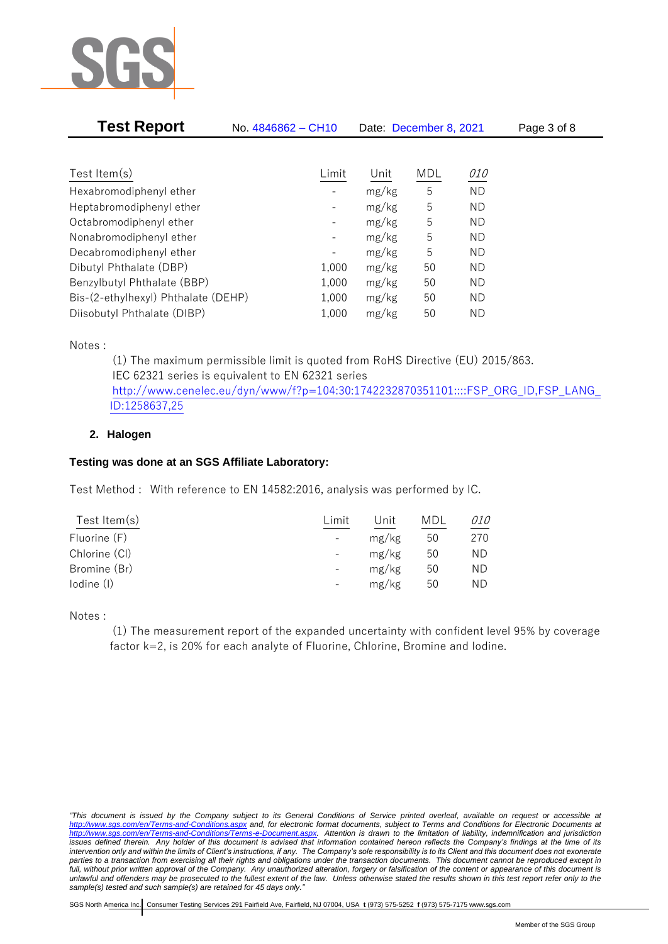

| <b>Test Report</b>                  | No. 4846862 - CH10           | Date: December 8, 2021 |     |            | Page 3 of 8 |
|-------------------------------------|------------------------------|------------------------|-----|------------|-------------|
|                                     |                              |                        |     |            |             |
| Test Item $(s)$                     | Limit                        | Unit                   | MDL | <i>010</i> |             |
| Hexabromodiphenyl ether             |                              | mg/kg                  | 5   | <b>ND</b>  |             |
| Heptabromodiphenyl ether            | $\overline{\phantom{0}}$     | mg/kg                  | 5   | ND.        |             |
| Octabromodiphenyl ether             | -                            | mg/kg                  | 5   | ND.        |             |
| Nonabromodiphenyl ether             | -                            | mg/kg                  | 5   | ND.        |             |
| Decabromodiphenyl ether             | $\qquad \qquad \blacksquare$ | mg/kg                  | 5   | ND.        |             |
| Dibutyl Phthalate (DBP)             | 1,000                        | mg/kg                  | 50  | ΝD         |             |
| Benzylbutyl Phthalate (BBP)         | 1,000                        | mg/kg                  | 50  | ND.        |             |
| Bis-(2-ethylhexyl) Phthalate (DEHP) | 1,000                        | mg/kg                  | 50  | ND.        |             |
| Diisobutyl Phthalate (DIBP)         | 1,000                        | mg/kg                  | 50  | ΝD         |             |

Notes :

(1) The maximum permissible limit is quoted from RoHS Directive (EU) 2015/863. IEC 62321 series is equivalent to EN 62321 series [http://www.cenelec.eu/dyn/www/f?p=104:30:1742232870351101::::FSP\\_ORG\\_ID,FSP\\_LANG\\_](http://www.cenelec.eu/dyn/www/f?p=104:30:1742232870351101::::FSP_ORG_ID,FSP_LANG_ID:1258637,25) [ID:1258637,25](http://www.cenelec.eu/dyn/www/f?p=104:30:1742232870351101::::FSP_ORG_ID,FSP_LANG_ID:1258637,25)

## **2. Halogen**

## **Testing was done at an SGS Affiliate Laboratory:**

Test Method : With reference to EN 14582:2016, analysis was performed by IC.

| Test Item $(s)$ | Limit                    | Unit  | MDL | <i>010</i> |
|-----------------|--------------------------|-------|-----|------------|
| Fluorine (F)    | $\overline{\phantom{a}}$ | mg/kg | 50  | 270        |
| Chlorine (CI)   | $\overline{\phantom{a}}$ | mg/kg | 50  | ND         |
| Bromine (Br)    |                          | mg/kg | 50  | ND         |
| lodine (I)      |                          | mg/kg | 50  | ND         |
|                 |                          |       |     |            |

Notes :

(1) The measurement report of the expanded uncertainty with confident level 95% by coverage factor k=2, is 20% for each analyte of Fluorine, Chlorine, Bromine and Iodine.

*<sup>&</sup>quot;This document is issued by the Company subject to its General Conditions of Service printed overleaf, available on request or accessible at <http://www.sgs.com/en/Terms-and-Conditions.aspx> and, for electronic format documents, subject to Terms and Conditions for Electronic Documents at [http://www.sgs.com/en/Terms-and-Conditions/Terms-e-Document.aspx.](http://www.sgs.com/en/Terms-and-Conditions/Terms-e-Document.aspx) Attention is drawn to the limitation of liability, indemnification and jurisdiction issues defined therein. Any holder of this document is advised that information contained hereon reflects the Company's findings at the time of its intervention only and within the limits of Client's instructions, if any. The Company's sole responsibility is to its Client and this document does not exonerate parties to a transaction from exercising all their rights and obligations under the transaction documents. This document cannot be reproduced except in full, without prior written approval of the Company. Any unauthorized alteration, forgery or falsification of the content or appearance of this document is unlawful and offenders may be prosecuted to the fullest extent of the law. Unless otherwise stated the results shown in this test report refer only to the sample(s) tested and such sample(s) are retained for 45 days only."*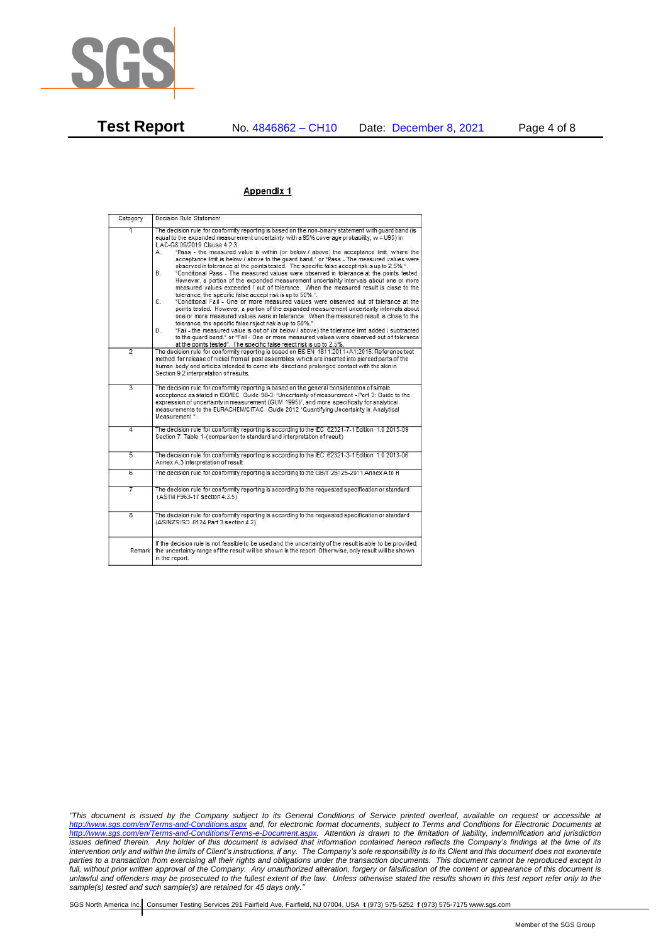

#### Appendix 1

| Category                | Decision Rule Statement                                                                                                                                                                                                                                                                                                                                                                                                                                                                                                                                                                                                                                                                                                                                                                                                                                                                                                                                                                                                                                                                                                                                                                                                                                                                                                                                                                                                                                                                                                  |
|-------------------------|--------------------------------------------------------------------------------------------------------------------------------------------------------------------------------------------------------------------------------------------------------------------------------------------------------------------------------------------------------------------------------------------------------------------------------------------------------------------------------------------------------------------------------------------------------------------------------------------------------------------------------------------------------------------------------------------------------------------------------------------------------------------------------------------------------------------------------------------------------------------------------------------------------------------------------------------------------------------------------------------------------------------------------------------------------------------------------------------------------------------------------------------------------------------------------------------------------------------------------------------------------------------------------------------------------------------------------------------------------------------------------------------------------------------------------------------------------------------------------------------------------------------------|
| 1                       | The decision rule for conformity reporting is based on the non-binary statement with quard band (is<br>equal to the expanded measurement uncertainty with a 95% coverage probability, w = U95) in<br>ILAC-G8:09/2019 Clause 4.2.3.<br>"Pass - the measured value is within (or below / above) the acceptance limit, where the<br>A.<br>acceptance limit is below / above to the quard band." or "Pass - The measured values were<br>observed in tolerance at the points tested. The specific false accept risk is up to 2.5%.".<br><b>B</b><br>"Conditional Pass - The measured values were observed in tolerance at the points tested.<br>However, a portion of the expanded measurement uncertainty intervals about one or more<br>measured values exceeded / out of tolerance. When the measured result is close to the<br>tolerance, the specific false accept risk is up to 50%.".<br>C.<br>"Conditional Fail - One or more measured values were observed out of tolerance at the<br>points tested. However, a portion of the expanded measurement uncertainty intervals about<br>one or more measured values were in tolerance. When the measured result is close to the<br>tolerance, the specific false reject risk is up to 50%.".<br>"Fail - the measured value is out of (or below / above) the tolerance limit added / subtracted<br>D.<br>to the quard band." or "Fail - One or more measured values were observed out of tolerance<br>at the points tested". The specific false reject risk is up to 2.5%. |
| $\overline{2}$          | The decision rule for conformity reporting is based on BS EN 1811:2011+A1:2015: Reference test<br>method for release of nickel from all post assemblies which are inserted into pierced parts of the<br>human body and articles intended to come into direct and prolonged contact with the skin in<br>Section 9.2 interpretation of results.                                                                                                                                                                                                                                                                                                                                                                                                                                                                                                                                                                                                                                                                                                                                                                                                                                                                                                                                                                                                                                                                                                                                                                            |
| $\overline{3}$          | The decision rule for conformity reporting is based on the general consideration of simple<br>acceptance as stated in ISO/IEC Guide 98-3: "Uncertainty of measurement - Part 3: Guide to the<br>expression of uncertainty in measurement (GUM 1995)", and more specifically for analytical<br>measurements to the EURACHEM/CITAC Guide 2012 "Quantifying Uncertainty in Analytical<br>Measurement "                                                                                                                                                                                                                                                                                                                                                                                                                                                                                                                                                                                                                                                                                                                                                                                                                                                                                                                                                                                                                                                                                                                      |
| 4                       | The decision rule for conformity reporting is according to the IEC 62321-7-1 Edition 1.0 2015-09<br>Section 7: Table 1-(comparison to standard and interpretation of result)                                                                                                                                                                                                                                                                                                                                                                                                                                                                                                                                                                                                                                                                                                                                                                                                                                                                                                                                                                                                                                                                                                                                                                                                                                                                                                                                             |
| $\overline{5}$          | The decision rule for conformity reporting is according to the IEC 62321-3-1 Edition 1.0 2013-06<br>Annex A.3 interpretation of result.                                                                                                                                                                                                                                                                                                                                                                                                                                                                                                                                                                                                                                                                                                                                                                                                                                                                                                                                                                                                                                                                                                                                                                                                                                                                                                                                                                                  |
| $\overline{6}$          | The decision rule for conformity reporting is according to the GB/T 26125-2011 Annex A to H                                                                                                                                                                                                                                                                                                                                                                                                                                                                                                                                                                                                                                                                                                                                                                                                                                                                                                                                                                                                                                                                                                                                                                                                                                                                                                                                                                                                                              |
| 7                       | The decision rule for conformity reporting is according to the requested specification or standard<br>(ASTM F963-17 section 4.3.5)                                                                                                                                                                                                                                                                                                                                                                                                                                                                                                                                                                                                                                                                                                                                                                                                                                                                                                                                                                                                                                                                                                                                                                                                                                                                                                                                                                                       |
| $\overline{\mathbf{8}}$ | The decision rule for conformity reporting is according to the requested specification or standard<br>(AS/NZS ISO 8124 Part 3 section 4.2)                                                                                                                                                                                                                                                                                                                                                                                                                                                                                                                                                                                                                                                                                                                                                                                                                                                                                                                                                                                                                                                                                                                                                                                                                                                                                                                                                                               |
| Remark                  | If the decision rule is not feasible to be used and the uncertainty of the result is able to be provided,<br>the uncertainty range of the result will be shown in the report. Otherwise, only result will be shown<br>in the report.                                                                                                                                                                                                                                                                                                                                                                                                                                                                                                                                                                                                                                                                                                                                                                                                                                                                                                                                                                                                                                                                                                                                                                                                                                                                                     |

*"This document is issued by the Company subject to its General Conditions of Service printed overleaf, available on request or accessible at <http://www.sgs.com/en/Terms-and-Conditions.aspx> and, for electronic format documents, subject to Terms and Conditions for Electronic Documents at [http://www.sgs.com/en/Terms-and-Conditions/Terms-e-Document.aspx.](http://www.sgs.com/en/Terms-and-Conditions/Terms-e-Document.aspx) Attention is drawn to the limitation of liability, indemnification and jurisdiction issues defined therein. Any holder of this document is advised that information contained hereon reflects the Company's findings at the time of its intervention only and within the limits of Client's instructions, if any. The Company's sole responsibility is to its Client and this document does not exonerate parties to a transaction from exercising all their rights and obligations under the transaction documents. This document cannot be reproduced except in full, without prior written approval of the Company. Any unauthorized alteration, forgery or falsification of the content or appearance of this document is unlawful and offenders may be prosecuted to the fullest extent of the law. Unless otherwise stated the results shown in this test report refer only to the sample(s) tested and such sample(s) are retained for 45 days only."*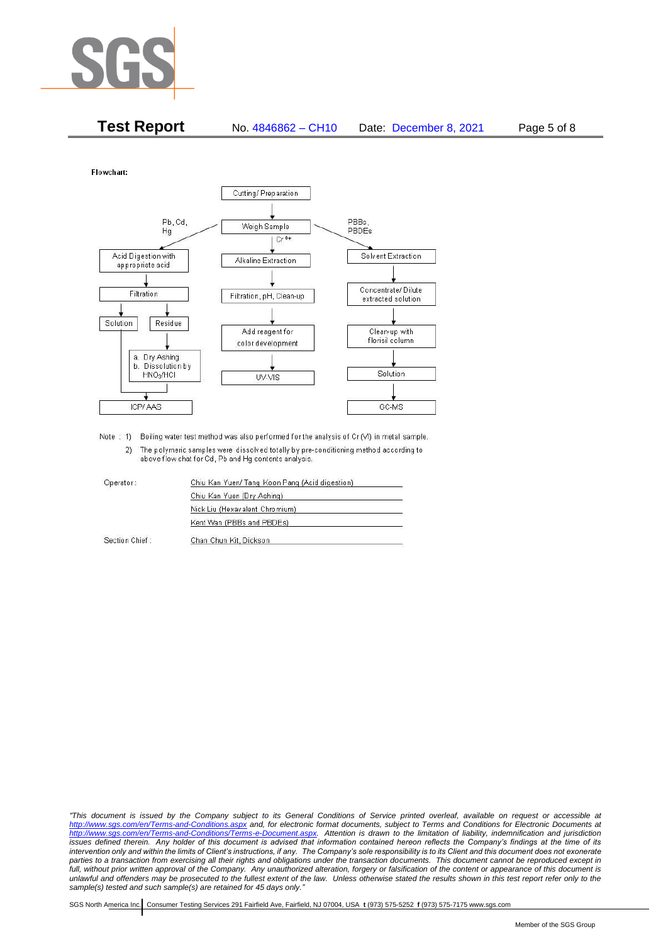

| <b>Test Report</b> | No. 4846862 - CH10 | Date: December 8, 2021 | Page 5 of 8 |
|--------------------|--------------------|------------------------|-------------|
|--------------------|--------------------|------------------------|-------------|

Flowchart:



Note : 1) Boiling water test method was also performed for the analysis of Cr (VI) in metal sample. 2) The polymeric samples were dissolved totally by pre-conditioning method according to above flow chat for Cd, Pb and Hg contents analysis

| Operator:      | Chiu Kan Yuen/ Tang Koon Pang (Acid digestion) |  |
|----------------|------------------------------------------------|--|
|                | Chiu Kan Yuen (Dry Ashing)                     |  |
|                | Nick Liu (Hexavalent Chromium)                 |  |
|                | Kent Wan (PBBs and PBDEs)                      |  |
| Section Chief: | Chan Chun Kit, Dickson                         |  |

*"This document is issued by the Company subject to its General Conditions of Service printed overleaf, available on request or accessible at <http://www.sgs.com/en/Terms-and-Conditions.aspx> and, for electronic format documents, subject to Terms and Conditions for Electronic Documents at [http://www.sgs.com/en/Terms-and-Conditions/Terms-e-Document.aspx.](http://www.sgs.com/en/Terms-and-Conditions/Terms-e-Document.aspx) Attention is drawn to the limitation of liability, indemnification and jurisdiction issues defined therein. Any holder of this document is advised that information contained hereon reflects the Company's findings at the time of its intervention only and within the limits of Client's instructions, if any. The Company's sole responsibility is to its Client and this document does not exonerate*  parties to a transaction from exercising all their rights and obligations under the transaction documents. This document cannot be reproduced except in *full, without prior written approval of the Company. Any unauthorized alteration, forgery or falsification of the content or appearance of this document is unlawful and offenders may be prosecuted to the fullest extent of the law. Unless otherwise stated the results shown in this test report refer only to the sample(s) tested and such sample(s) are retained for 45 days only."*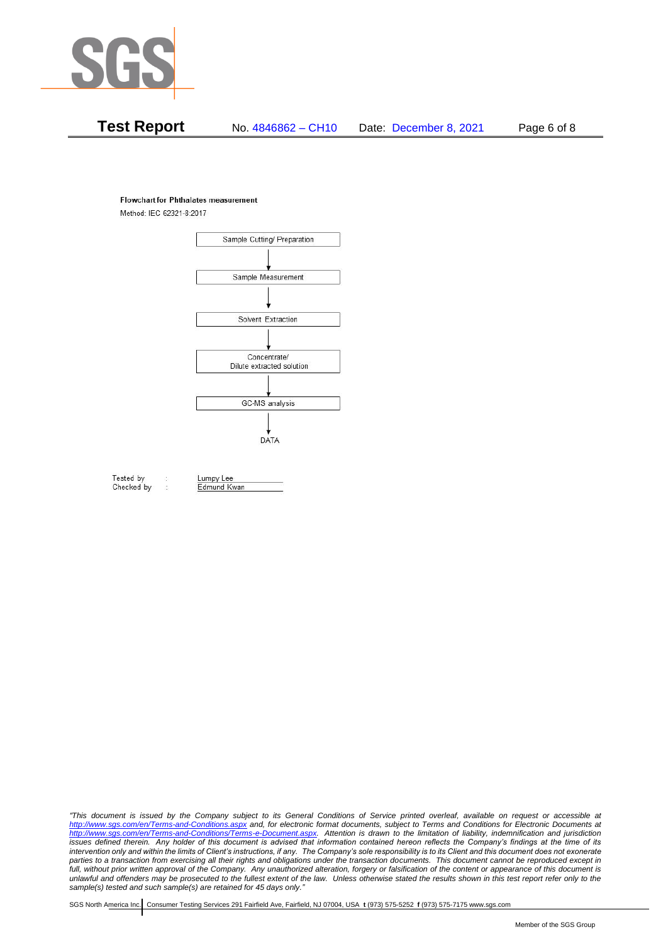

# **Test Report** No. 4846862 – CH10 Date: December 8, 2021 Page 6 of 8

#### **Flowchart for Phthalates measurement**

Method: IEC 62321-8:2017



Tested by Checked by Lumpy Lee Edmund Kwan

*"This document is issued by the Company subject to its General Conditions of Service printed overleaf, available on request or accessible at <http://www.sgs.com/en/Terms-and-Conditions.aspx> and, for electronic format documents, subject to Terms and Conditions for Electronic Documents at [http://www.sgs.com/en/Terms-and-Conditions/Terms-e-Document.aspx.](http://www.sgs.com/en/Terms-and-Conditions/Terms-e-Document.aspx) Attention is drawn to the limitation of liability, indemnification and jurisdiction issues defined therein. Any holder of this document is advised that information contained hereon reflects the Company's findings at the time of its intervention only and within the limits of Client's instructions, if any. The Company's sole responsibility is to its Client and this document does not exonerate*  parties to a transaction from exercising all their rights and obligations under the transaction documents. This document cannot be reproduced except in *full, without prior written approval of the Company. Any unauthorized alteration, forgery or falsification of the content or appearance of this document is unlawful and offenders may be prosecuted to the fullest extent of the law. Unless otherwise stated the results shown in this test report refer only to the sample(s) tested and such sample(s) are retained for 45 days only."*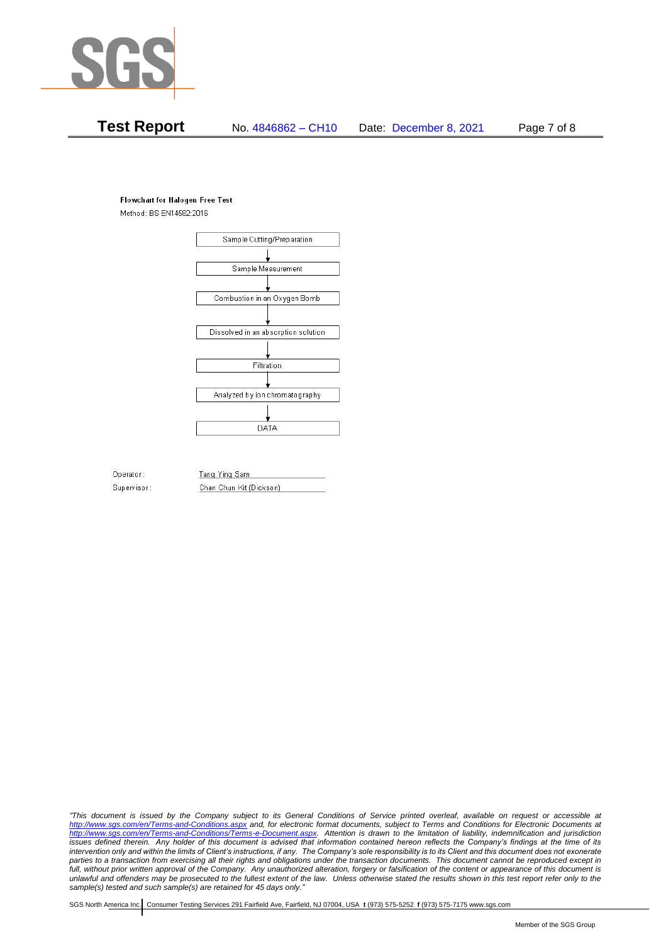

# **Test Report** No. 4846862 – CH10 Date: December 8, 2021 Page 7 of 8

#### **Flowchart for Halogen Free Test**

Method: BS EN14582:2016



Operator: Supervisor: Tang Ying Sam Chan Chun Kit (Dickson)

*"This document is issued by the Company subject to its General Conditions of Service printed overleaf, available on request or accessible at <http://www.sgs.com/en/Terms-and-Conditions.aspx> and, for electronic format documents, subject to Terms and Conditions for Electronic Documents at [http://www.sgs.com/en/Terms-and-Conditions/Terms-e-Document.aspx.](http://www.sgs.com/en/Terms-and-Conditions/Terms-e-Document.aspx) Attention is drawn to the limitation of liability, indemnification and jurisdiction issues defined therein. Any holder of this document is advised that information contained hereon reflects the Company's findings at the time of its intervention only and within the limits of Client's instructions, if any. The Company's sole responsibility is to its Client and this document does not exonerate*  parties to a transaction from exercising all their rights and obligations under the transaction documents. This document cannot be reproduced except in *full, without prior written approval of the Company. Any unauthorized alteration, forgery or falsification of the content or appearance of this document is unlawful and offenders may be prosecuted to the fullest extent of the law. Unless otherwise stated the results shown in this test report refer only to the sample(s) tested and such sample(s) are retained for 45 days only."*